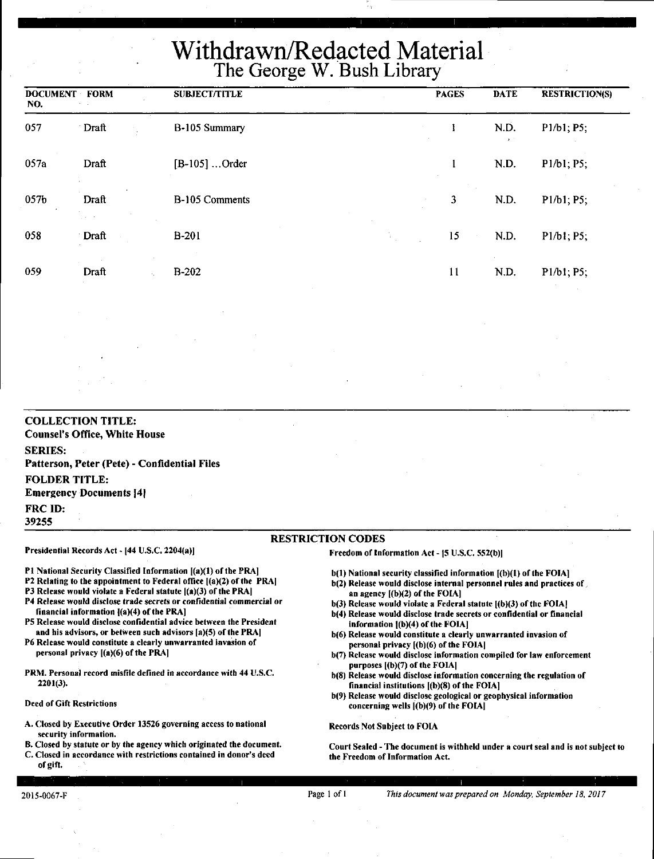# Withdrawn/Redacted Material The George W. Bush Library

| <b>DOCUMENT FORM</b><br>NO. |                      | <b>SUBJECT/TITLE</b> |    | <b>PAGES</b> | <b>DATE</b>          | <b>RESTRICTION(S)</b> |
|-----------------------------|----------------------|----------------------|----|--------------|----------------------|-----------------------|
| 057                         | Draft                | B-105 Summary        |    |              | N.D.<br>$\mathbf{z}$ | P1/b1; P5;            |
| 057a                        | Draft                | $[B-105]$ Order      |    |              | N.D.                 | P1/b1; P5;            |
| 057b                        | Draft<br>graduate in | B-105 Comments       |    | $\mathbf{3}$ | N.D.                 | P1/b1; P5;            |
| 058                         | Draft                | $B-201$              | t. | 15           | N.D.                 | P1/b1; P5;            |
| 059                         | Draft                | B-202                |    | 11           | N.D.                 | P1/b1; P5;            |

**COLLECTION TITLE: Counsel's Office, White House SERIES: Patterson, Peter (Pete)** - **Confidential Files FOLDER TITLE: Emergency Documents [4] FRCID: 39255** 

#### RESTRICTION CODES

Presidential Records Act - [44 U.S.C. 2204(a)]

financial information ((a)(4) of the PRA]

personal privacy  $[(a)(6)$  of the PRA]

P1 National Security Classified Information  $[(a)(1)$  of the PRA] P2 Relating to the appointment to Federal office ((a)(2) of the PRA) P3 Release would violate a Federal statute  $[(a)(3)$  of the PRA] P4 Release would disclose trade secrets or confidential commercial or

PS Release would disclose confidential advice between the President and his advisors, or between such advisors [a)(S) of the PRA) P6 Release would constitute a clearly unwarranted invasion or

PRM. Personal record misfile defined in accordance with 44 U.S.C.

A. Closed by Executive Order 13526 governing access to national

B. Closed by statute or by the agency which originated the document.

### Freedom of Information Act - 15 U.S.C. 552(b))

 $b(1)$  National security classified information  $[(b)(1)$  of the FOIA]

- b(2) Release would disclose internal personnel rules and practices of  $\lambda$ an agency ((b)(2) of the FOIA]
- b(3) Release would violate a Federal statute ((b)(3) of the FOIAJ
- b(4) Release would disclose trade secrets or confidential or financial information  $[(b)(4)$  of the FOIA]
- b(6) Release would constitute a clearly unwarranted invasion of personal privacy [(b)(6) of the FOIAI
- b(7) Release would disclose information compiled for law enforcement purposes ((b)(7) of the FOIAI
- b(8) Release would disclose information concerning the regulation of financial institutions ((b)(8) of the FOIA)
- b(9) Release would disclose geological or geophysical information concerning wells [(b)(9) of the FOIA]

Records Not Subject to FOIA

Court Sealed -The document is withheld under a court seal and is not subject to the Freedom of Information Act.

#### C. Closed in accordance with restrictions contained in donor's deed of gift.

2201(3).

Deed of Gift Restrictions

security information.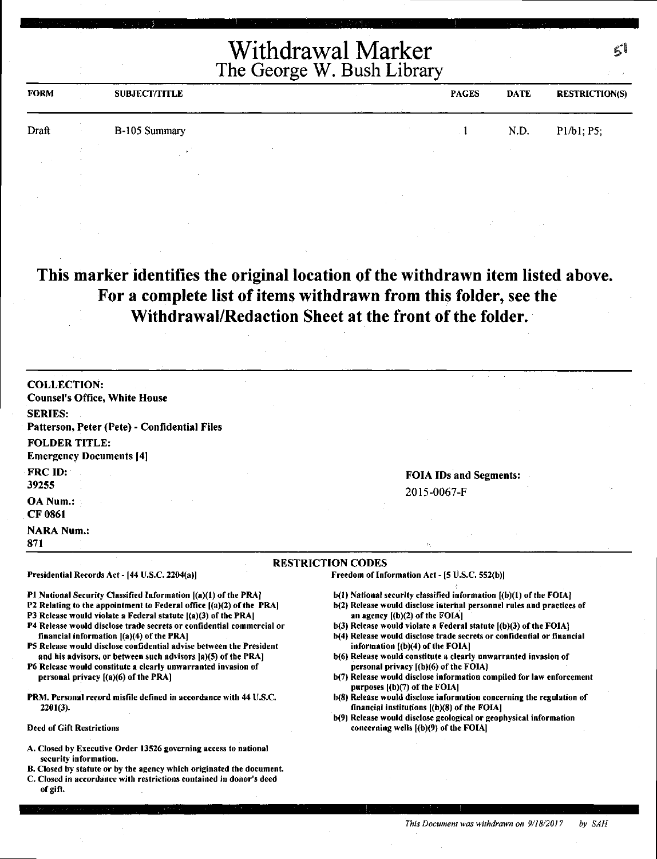| <b>FORM</b> |  | <b>SUBJECT/TITLE</b> |  |  | <b>PAGES</b><br><b>DATE</b> |      | <b>RESTRICTION(S)</b> |  |
|-------------|--|----------------------|--|--|-----------------------------|------|-----------------------|--|
| Draft       |  | B-105 Summary        |  |  |                             | N.D. | P1/b1; P5;            |  |
|             |  |                      |  |  |                             |      |                       |  |

**This marker identifies the original location of the withdrawn item listed above. For a complete list of items withdrawn from this folder, see the Withdrawal/Redaction Sheet at the front of the folder.** 

| <b>COLLECTION:</b>                                                                                                 |                                                                                                            |
|--------------------------------------------------------------------------------------------------------------------|------------------------------------------------------------------------------------------------------------|
| <b>Counsel's Office, White House</b>                                                                               |                                                                                                            |
| <b>SERIES:</b>                                                                                                     |                                                                                                            |
| Patterson, Peter (Pete) - Confidential Files                                                                       |                                                                                                            |
| <b>FOLDER TITLE:</b>                                                                                               |                                                                                                            |
| <b>Emergency Documents [4]</b>                                                                                     |                                                                                                            |
| FRC ID:                                                                                                            |                                                                                                            |
|                                                                                                                    | <b>FOIA IDs and Segments:</b>                                                                              |
| 39255                                                                                                              | 2015-0067-F                                                                                                |
| <b>OA Num.:</b>                                                                                                    |                                                                                                            |
| <b>CF 0861</b>                                                                                                     |                                                                                                            |
| <b>NARA Num.:</b>                                                                                                  |                                                                                                            |
| 871                                                                                                                | e.                                                                                                         |
|                                                                                                                    | <b>RESTRICTION CODES</b>                                                                                   |
| Presidential Records Act - [44 U.S.C. 2204(a)]                                                                     | Freedom of Information Act - [5 U.S.C. 552(b)]                                                             |
| P1 National Security Classified Information [(a)(1) of the PRA]                                                    | $b(1)$ National security classified information $(b)(1)$ of the FOIA.                                      |
| P2 Relating to the appointment to Federal office $[(a)(2)$ of the PRA                                              | b(2) Release would disclose internal personnel rules and practices of                                      |
| P3 Release would violate a Federal statute $[(a)(3)$ of the PRA]                                                   | an agency $[(b)(2)$ of the FOIA]                                                                           |
| P4 Release would disclose trade secrets or confidential commercial or                                              | $b(3)$ Release would violate a Federal statute $(b)(3)$ of the FOIA.                                       |
| financial information $[(a)(4)$ of the PRA]<br>P5 Release would disclose confidential advise between the President | b(4) Release would disclose trade secrets or confidential or financial<br>information [(b)(4) of the FOIA] |
| and his advisors, or between such advisors (a)(5) of the PRA)                                                      | b(6) Release would constitute a clearly unwarranted invasion of                                            |
| P6 Release would constitute a clearly unwarranted invasion of                                                      | personal privacy [(b)(6) of the FOIA]                                                                      |
| personal privacy [(a)(6) of the PRA]                                                                               | b(7) Release would disclose information compiled for law enforcement                                       |

- b(7) Release would disclose information compiled for law enforcement purposes ((b)(7) of the FOIAJ
- b(8) Release would disclose information concerning the regulation of financial institutions ((b)(8) of the FOIAJ
- b(9) Release would disclose geological or geophysical information concerning wells  $[(b)(9)$  of the FOIA]
- A. Closed by Executive Order 13526 governing access to national security information.

PRM. Personal record misfile defined in accordance with 44 U.S.C.

2201(3).

Deed of Gift Restrictions

- B. Closed by statute or by the agency which originated the document.
- C. Closed in accordance with restrictions contained in donor's deed of gift.

r i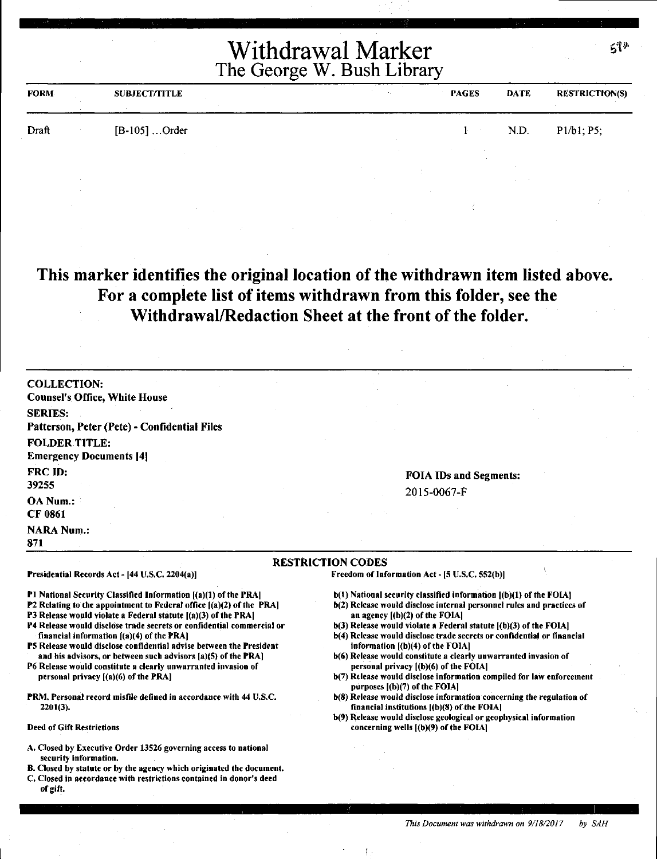| <b>FORM</b> | <b>SUBJECT/TITLE</b> | <b>PAGES</b> | <b>DATE</b> | <b>RESTRICTION(S)</b> |
|-------------|----------------------|--------------|-------------|-----------------------|
| Draft       | $[B-105]$ Order      |              | N.D.        | P1/b1; P5;            |
|             |                      |              |             |                       |

## **This marker identifies the original location of the withdrawn item listed above. For a complete list of items withdrawn from this folder, see the Withdrawal/Redaction Sheet at the front of the folder.**

RESTRICTION CODES

COLLECTION: Counsel's Office, White House SERIES: Patterson, Peter (Pete)• Confidential Files FOLDER TITLE: **Emergency Documents [4]** FRC ID: 39255 OA Num.: CF 0861 **NARA Num.:** 

### FOIA IDs and Segments: 2015-0067-F

#### Presidential Records Act - (44 U.S.C. 2204(a)]

Pl National Security Classified Information ((a)(l) of the PRA)

- P2 Relating to the appointment to Federal office ((a)(2) of the PRA]
- P3 Release would violate a Federal statute  $[(a)(3)$  of the PRA
- P4 Release would disclo'se trade secrets or confidential commercial or financial information ((a)(4) of the PRA)
- PS Release would disclose confidential advise between the President and his advisors, or between such advisors (a)(S) of the PRA)
- P6 Release would constitute a clearly unwarranted invasion of personal privacy ((a)(6) of the PRA)
- PRM. Personal record misfile defined in accordance with 44 U.S.C. 2201(3).
- Deed of Gift Restrictions

871

- A. Closed by Executive Order 13526 governing access to national security information.
- B. Closed by statute or by the agency which originated the document.
- C. Closed in accordance with restrictions contained in donor's deed of gift.

Freedom of Information Act - (5 U.S.C. SS2(b))

- b(l) National security classified information ((b)(l) of the FOIA)
- b(2) Release would disclose internal personnel rules and practices of an agency  $[(b)(2)$  of the FOIA $]$
- b(3) Release would violate a Federal statute  $[(b)(3)$  of the FOIA]
- b(4) Release would disclose trade secrets or confidential or financial information  $[(b)(4)$  of the FOIA]
- b(6) Release would constitute a clearly unwarranted invasion of personal privacy ((b)(6) of the FOIA)
- b(7) Release would disclose information compiled for law enforcement purposes  $[(b)(7)$  of the FOIA]
- b(8) Release would disclose information concerning the regulation of financial institutions ((b)(8) of the FOIA)
- b(9) Release would disclose geological or geophysical information concerning wells ((b)(9) of the FOIAJ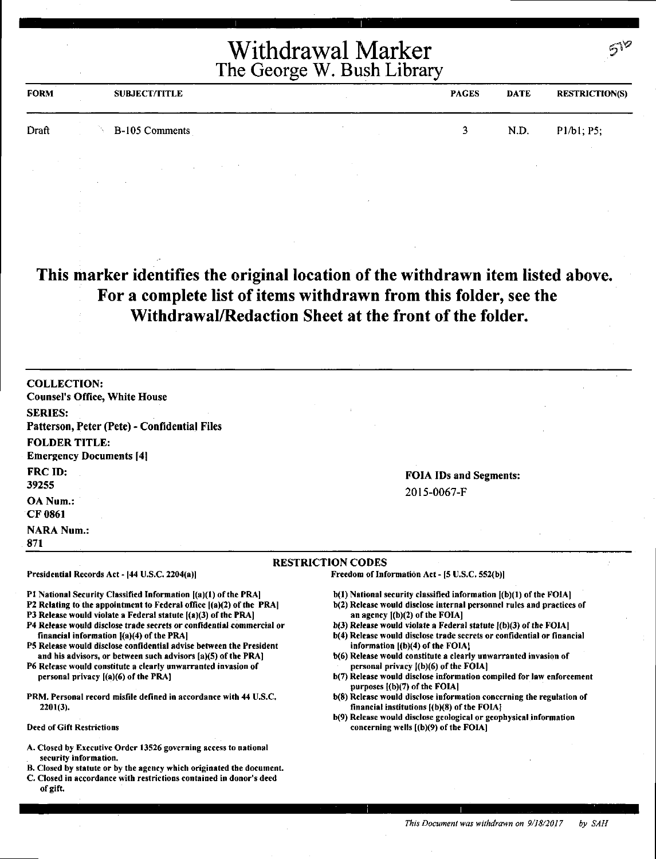| <b>FORM</b> | <b>SUBJECT/TITLE</b> | <b>PAGES</b> | <b>DATE</b> | <b>RESTRICTION(S)</b> |
|-------------|----------------------|--------------|-------------|-----------------------|
| Draft       | B-105 Comments       | 2.           | N.D.        | P1/b1; P5;            |
|             |                      |              |             |                       |

# **This marker identifies the original location of the withdrawn item listed above. For a complete list of items withdrawn from this folder, see the Withdrawal/Redaction Sheet at the front of the folder.**

COLLECTION: Counsel's Office, White House SERIES: Patterson, Peter (Pete)• Confidential Files FOLDER TITLE: **Emergency Documents [4]** FRCID: 39255 OA Num.: CF 0861 **NARA Num.:** 871

Presidential Records Act - (44 U.S.C. 2204(a))

financial information  $[(a)(4)$  of the PRA]

personal privacy [(a)(6) of the PRA)

2201(3).

Deed of Gift Restrictions

#### FOIA IDs and Segments: 2015-0067-F

#### RESTRICTION CODES

Freedom of Information Act - (S U.S.C. S52(b))

- b(l) National security classified information ((b)(l) of the FOIA)
- b(2) Release would disclose internal personnel rules and practices of an agency l(b)(2) of the FOIA]
- $b(3)$  Release would violate a Federal statute  $(6)(3)$  of the FOIA]
- b(4) Release would disclose trade secrets or confidential or financial information l(b)(4) of the FOIAI
- b(6) Release would constitute a clearly unwarranted invasion of personal privacy  $($ b $)($ 6 $)$  of the FOIA $]$
- b(7) Release would disclose information compiled for law enforcement purposes l(b)(7) of the FOIA)
- b(S) Release would disclose information concerning *the* regulation of financial institutions ((b)(8) of the FOIAJ
- b(9) Release would disclose geological or geophysical information concerning wells ((b)(9) of the FOIA)

A. Closed by Executive Order 13526 governing access to national security information.

Pl National Security Classified Information ((a)(l) of the PRA) P2 Relating to the appointment to Federal office  $[(a)(2)$  of the PRA] P3 Release would violate a Federal statute  $[(a)(3)$  of the PRA] P4 Release would disclose trade secrets or confidential commercial or

PS Release would disclose confidential advise between the President and his advisors, or between such advisors [a)(5) of the PRA) P6 Release would constitute a clearly unwarranted invasion of

PRM. Personal record misfile defined in accordance with 44 U.S.C.

- B. Closed by statute or by the agency which originated the document.
- C. Closed in accordance with restrictions contained in donor's deed of gift.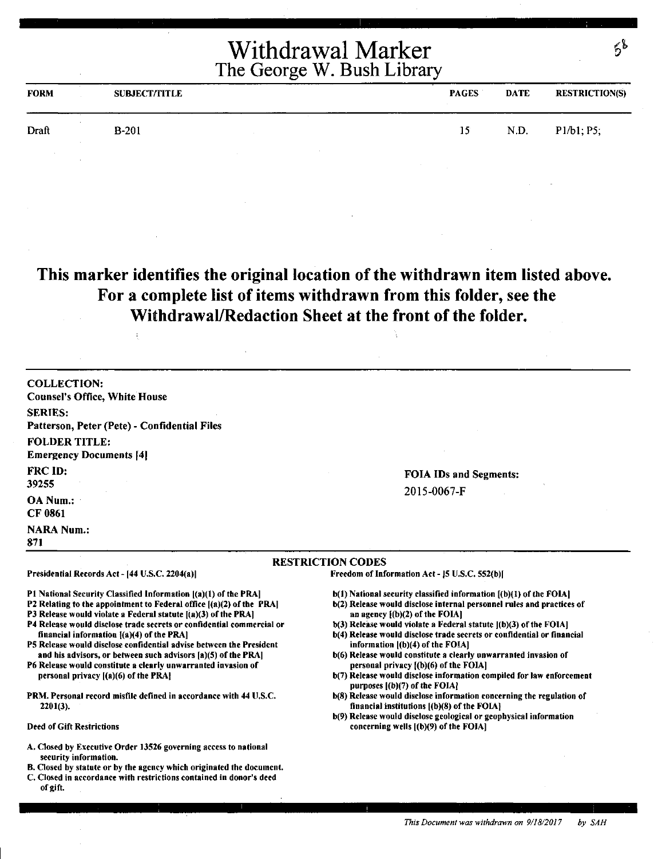| <b>FORM</b> | <b>SUBJECT/TITLE</b> |  | <b>PAGES</b> | <b>DATE</b> | <b>RESTRICTION(S)</b> |
|-------------|----------------------|--|--------------|-------------|-----------------------|
| Draft       | $B-201$              |  | 15           | N.D.        | P1/b1; P5;            |
|             |                      |  |              |             |                       |

**This marker identifies the original location of the withdrawn item listed above. For a complete list of items withdrawn from this folder, see the Withdrawal/Redaction Sheet at the front of the folder.** 

COLLECTION: Counsel's Office, White House SERIES: Patterson, Peter (Pete) - Confidential Files FOLDER TITLE: Emergency Documents [4] FRC ID: 39255 OA Num.: CF 0861

Presidential Records Act - (44 U.S,C. 2204(a))

financial information ((a)(4) of the PRA]

personal privacy ((a)(6) of the PRAJ

**NARA Num.:** 871

#### RESTRICTION CODES

Freedom of Information Act - JS U.S.C. 552(b)f

- P1 National Security Classified Information  $|(a)(1)$  of the PRA] b(l) National security classified information [(b)(I) of the FOIA)
	- b(2) Release would disclose internal personnel rules and practices of an agency l(b)(2) of the FOIAI

FOIA IDs and Segments:

2015-0067-F

- $b(3)$  Release would violate a Federal statute  $|(b)(3)$  of the FOIA]
- b(4) Release would disclose trade secrets or confidential or financial information ((b)(4) of the FOIA)
- b(6) Release would constitute a clearly unwarranted invasion of personal privacy f(b)(6) of the FOIA]
- b(7) Release would disclose information compiled for law enforcement purposes l(b)(7) of the FOIA]
- b(S) Release would disclose information concerning the regulation of financial institutions ((b)(S) of the FOIA)
- b(9) Release would disclose geological or geophysical information concerning wells ((b)(9) of the FOIA]

### 2201(3). Deed of Gift Restrictions

A. Closed by Executive Order 13526 governing access to national security information.

P2 Relating to the appointment to Federal office ((a)(2) of the PRA) P3 Release would violate a Federal statute  $[(a)(3)$  of the PRA] P4 Release would disclose trade secrets or confidential commercial or

PS Release would disclose confidential advise between the President and bis advisors, or between such advisors [a)(S) of the PRA) P6 Release would constitute a clearly unwarranted invasion of

PRM. Personal record misfile defined in accordance with 44 U.S.C.

- B. Closed by statute or by the agency which originated the document. C. Closed in accordance with restrictions contained in donor's deed
- of gift.

*This Document was withdrawn on 9/18/2017 by SAH*